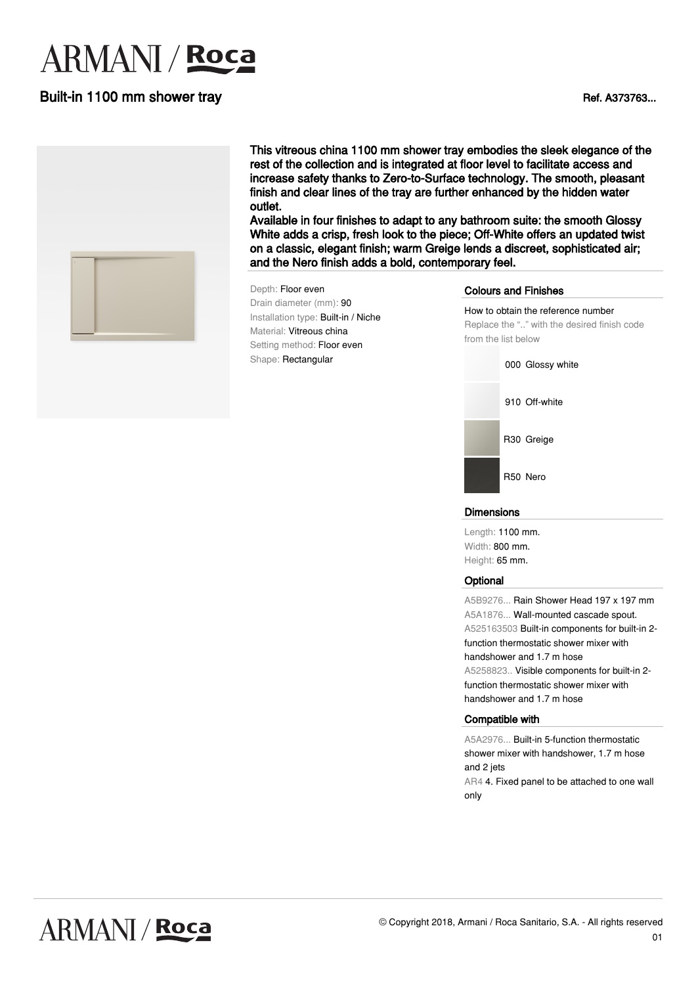# **ARMANI** / **Roca**

### Built-in 1100 mm shower tray and the state of the state of the state of the state of the state of the state of the state of the state of the state of the state of the state of the state of the state of the state of the sta



This vitreous china 1100 mm shower tray embodies the sleek elegance of the rest of the collection and is integrated at floor level to facilitate access and increase safety thanks to Zero-to-Surface technology. The smooth, pleasant finish and clear lines of the tray are further enhanced by the hidden water outlet.

Available in four finishes to adapt to any bathroom suite: the smooth Glossy White adds a crisp, fresh look to the piece; Off-White offers an updated twist on a classic, elegant finish; warm Greige lends a discreet, sophisticated air; and the Nero finish adds a bold, contemporary feel.

#### Depth: Floor even Drain diameter (mm): 90 Installation type: Built-in / Niche Material: Vitreous china Setting method: Floor even Shape: Rectangular

#### Colours and Finishes



#### **Dimensions**

Length: 1100 mm. Width: 800 mm. Height: 65 mm.

#### **Optional**

A5B9276... Rain Shower Head 197 x 197 mm A5A1876... Wall-mounted cascade spout. A525163503 Built-in components for built-in 2 function thermostatic shower mixer with handshower and 1.7 m hose A5258823.. Visible components for built-in 2 function thermostatic shower mixer with handshower and 1.7 m hose

#### Compatible with

A5A2976... Built-in 5-function thermostatic shower mixer with handshower, 1.7 m hose and 2 jets AR4 4. Fixed panel to be attached to one wall only

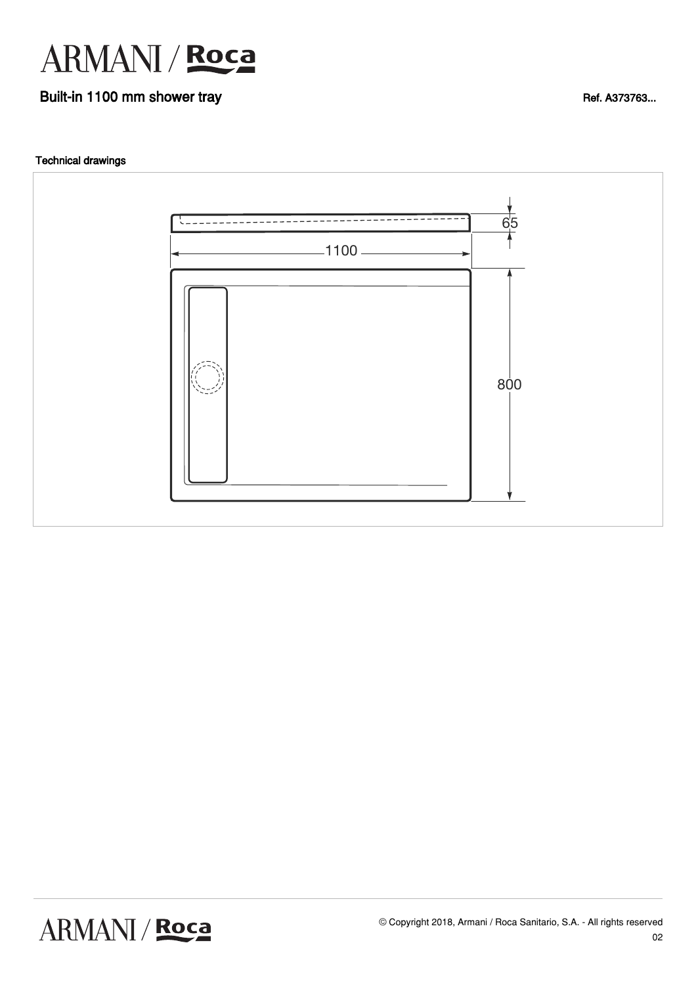

## Built-in 1100 mm shower tray and the state of the state of the state of the state of the state of the state of the state of the state of the state of the state of the state of the state of the state of the state of the sta

#### Technical drawings